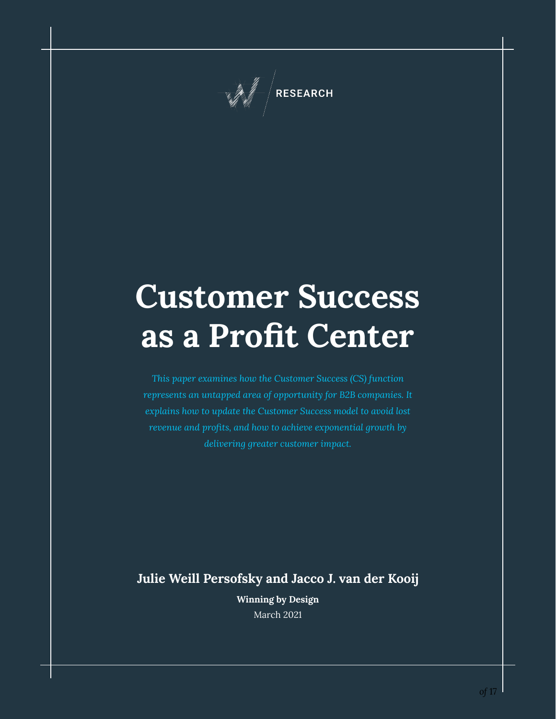

# **Customer Success as a Profit Center**

*This paper examines how the Customer Success (CS) function represents an untapped area of opportunity for B2B companies. It explains how to update the Customer Success model to avoid lost revenue and profits, and how to achieve exponential growth by delivering greater customer impact.*

**Julie Weill Persofsky and Jacco J. van der Kooij**

**Winning by Design** March 2021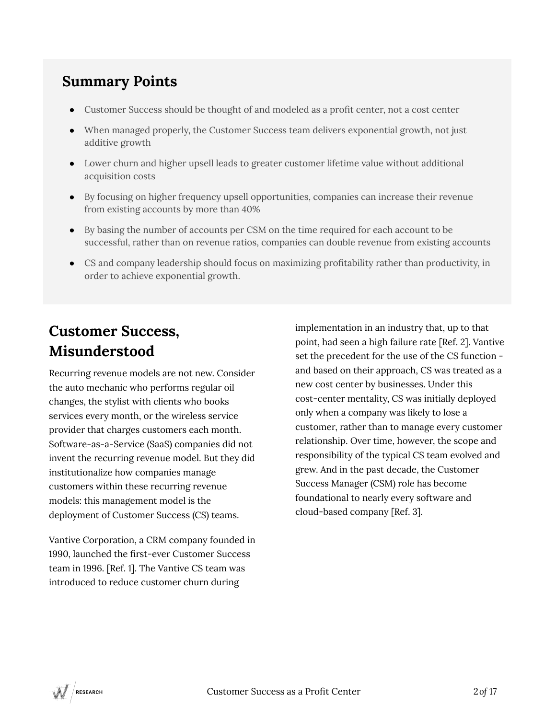### **Summary Points**

- **●** Customer Success should be thought of and modeled as a profit center, not a cost center
- **●** When managed properly, the Customer Success team delivers exponential growth, not just additive growth
- **●** Lower churn and higher upsell leads to greater customer lifetime value without additional acquisition costs
- **●** By focusing on higher frequency upsell opportunities, companies can increase their revenue from existing accounts by more than 40%
- **●** By basing the number of accounts per CSM on the time required for each account to be successful, rather than on revenue ratios, companies can double revenue from existing accounts
- **●** CS and company leadership should focus on maximizing profitability rather than productivity, in order to achieve exponential growth.

### **Customer Success, Misunderstood**

Recurring revenue models are not new. Consider the auto mechanic who performs regular oil changes, the stylist with clients who books services every month, or the wireless service provider that charges customers each month. Software-as-a-Service (SaaS) companies did not invent the recurring revenue model. But they did institutionalize how companies manage customers within these recurring revenue models: this management model is the deployment of Customer Success (CS) teams.

Vantive Corporation, a CRM company founded in 1990, launched the first-ever Customer Success team in 1996. [Ref. 1]. The Vantive CS team was introduced to reduce customer churn during

implementation in an industry that, up to that point, had seen a high failure rate [Ref. 2]. Vantive set the precedent for the use of the CS function and based on their approach, CS was treated as a new cost center by businesses. Under this cost-center mentality, CS was initially deployed only when a company was likely to lose a customer, rather than to manage every customer relationship. Over time, however, the scope and responsibility of the typical CS team evolved and grew. And in the past decade, the Customer Success Manager (CSM) role has become foundational to nearly every software and cloud-based company [Ref. 3].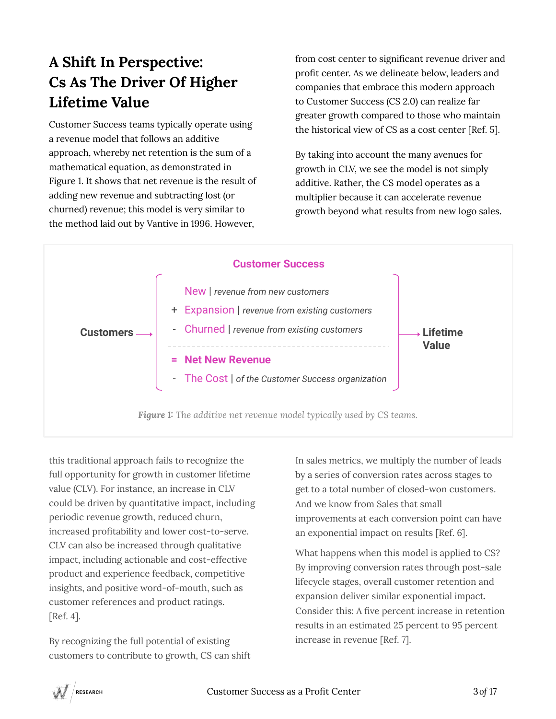# **A Shift In Perspective: Cs As The Driver Of Higher Lifetime Value**

Customer Success teams typically operate using a revenue model that follows an additive approach, whereby net retention is the sum of a mathematical equation, as demonstrated in Figure 1. It shows that net revenue is the result of adding new revenue and subtracting lost (or churned) revenue; this model is very similar to the method laid out by Vantive in 1996. However,

from cost center to significant revenue driver and profit center. As we delineate below, leaders and companies that embrace this modern approach to Customer Success (CS 2.0) can realize far greater growth compared to those who maintain the historical view of CS as a cost center [Ref. 5].

By taking into account the many avenues for growth in CLV, we see the model is not simply additive. Rather, the CS model operates as a multiplier because it can accelerate revenue growth beyond what results from new logo sales.



this traditional approach fails to recognize the full opportunity for growth in customer lifetime value (CLV). For instance, an increase in CLV could be driven by quantitative impact, including periodic revenue growth, reduced churn, increased profitability and lower cost-to-serve. CLV can also be increased through qualitative impact, including actionable and cost-effective product and experience feedback, competitive insights, and positive word-of-mouth, such as customer references and product ratings. [Ref. 4].

By recognizing the full potential of existing customers to contribute to growth, CS can shift In sales metrics, we multiply the number of leads by a series of conversion rates across stages to get to a total number of closed-won customers. And we know from Sales that small improvements at each conversion point can have an exponential impact on results [Ref. 6].

What happens when this model is applied to CS? By improving conversion rates through post-sale lifecycle stages, overall customer retention and expansion deliver similar exponential impact. Consider this: A five percent increase in retention results in an estimated 25 percent to 95 percent increase in revenue [Ref. 7].

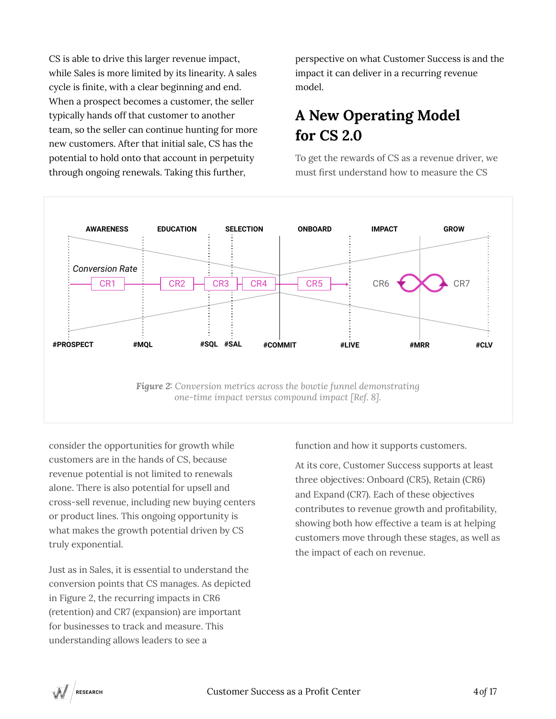CS is able to drive this larger revenue impact, while Sales is more limited by its linearity. A sales cycle is finite, with a clear beginning and end. When a prospect becomes a customer, the seller typically hands off that customer to another team, so the seller can continue hunting for more new customers. After that initial sale, CS has the potential to hold onto that account in perpetuity through ongoing renewals. Taking this further,

perspective on what Customer Success is and the impact it can deliver in a recurring revenue model.

### **A New Operating Model for CS 2.0**

To get the rewards of CS as a revenue driver, we must first understand how to measure the CS



consider the opportunities for growth while customers are in the hands of CS, because revenue potential is not limited to renewals alone. There is also potential for upsell and cross-sell revenue, including new buying centers or product lines. This ongoing opportunity is what makes the growth potential driven by CS truly exponential.

Just as in Sales, it is essential to understand the conversion points that CS manages. As depicted in Figure 2, the recurring impacts in CR6 (retention) and CR7 (expansion) are important for businesses to track and measure. This understanding allows leaders to see a

function and how it supports customers.

At its core, Customer Success supports at least three objectives: Onboard (CR5), Retain (CR6) and Expand (CR7). Each of these objectives contributes to revenue growth and profitability, showing both how effective a team is at helping customers move through these stages, as well as the impact of each on revenue.

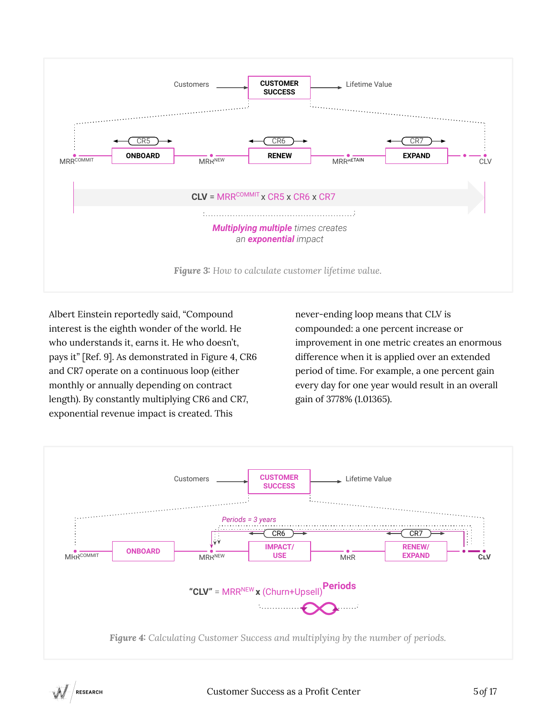

Albert Einstein reportedly said, "Compound interest is the eighth wonder of the world. He who understands it, earns it. He who doesn't, pays it" [Ref. 9]. As demonstrated in Figure 4, CR6 and CR7 operate on a continuous loop (either monthly or annually depending on contract length). By constantly multiplying CR6 and CR7, exponential revenue impact is created. This

never-ending loop means that CLV is compounded: a one percent increase or improvement in one metric creates an enormous difference when it is applied over an extended period of time. For example, a one percent gain every day for one year would result in an overall gain of 3778% (1.01365).

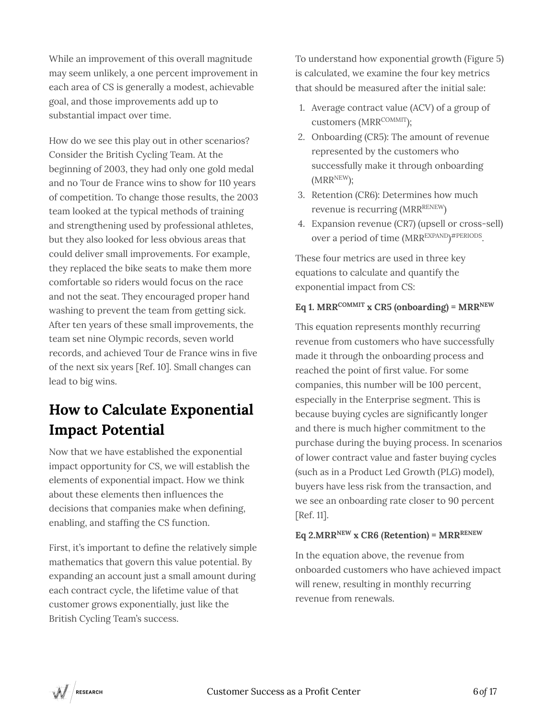While an improvement of this overall magnitude may seem unlikely, a one percent improvement in each area of CS is generally a modest, achievable goal, and those improvements add up to substantial impact over time.

How do we see this play out in other scenarios? Consider the British Cycling Team. At the beginning of 2003, they had only one gold medal and no Tour de France wins to show for 110 years of competition. To change those results, the 2003 team looked at the typical methods of training and strengthening used by professional athletes, but they also looked for less obvious areas that could deliver small improvements. For example, they replaced the bike seats to make them more comfortable so riders would focus on the race and not the seat. They encouraged proper hand washing to prevent the team from getting sick. After ten years of these small improvements, the team set nine Olympic records, seven world records, and achieved Tour de France wins in five of the next six years [Ref. 10]. Small changes can lead to big wins.

# **How to Calculate Exponential Impact Potential**

Now that we have established the exponential impact opportunity for CS, we will establish the elements of exponential impact. How we think about these elements then influences the decisions that companies make when defining, enabling, and staffing the CS function.

First, it's important to define the relatively simple mathematics that govern this value potential. By expanding an account just a small amount during each contract cycle, the lifetime value of that customer grows exponentially, just like the British Cycling Team's success.

To understand how exponential growth (Figure 5) is calculated, we examine the four key metrics that should be measured after the initial sale:

- 1. Average contract value (ACV) of a group of customers (MRRCOMMIT):
- 2. Onboarding (CR5): The amount of revenue represented by the customers who successfully make it through onboarding  $(MRR^{NEW});$
- 3. Retention (CR6): Determines how much revenue is recurring (MRRRENEW)
- 4. Expansion revenue (CR7) (upsell or cross-sell) over a period of time (MRR<sup>EXPAND</sup>)<sup>#PERIODS</sup>.

These four metrics are used in three key equations to calculate and quantify the exponential impact from CS:

#### $Eq 1. MRR^{COMMIT}$  x CR5 (onboarding) =  $MRR^{NEW}$

This equation represents monthly recurring revenue from customers who have successfully made it through the onboarding process and reached the point of first value. For some companies, this number will be 100 percent, especially in the Enterprise segment. This is because buying cycles are significantly longer and there is much higher commitment to the purchase during the buying process. In scenarios of lower contract value and faster buying cycles (such as in a Product Led Growth (PLG) model), buyers have less risk from the transaction, and we see an onboarding rate closer to 90 percent [Ref. 11].

#### **Eq 2.MRRNEW x CR6 (Retention) = MRRRENEW**

In the equation above, the revenue from onboarded customers who have achieved impact will renew, resulting in monthly recurring revenue from renewals.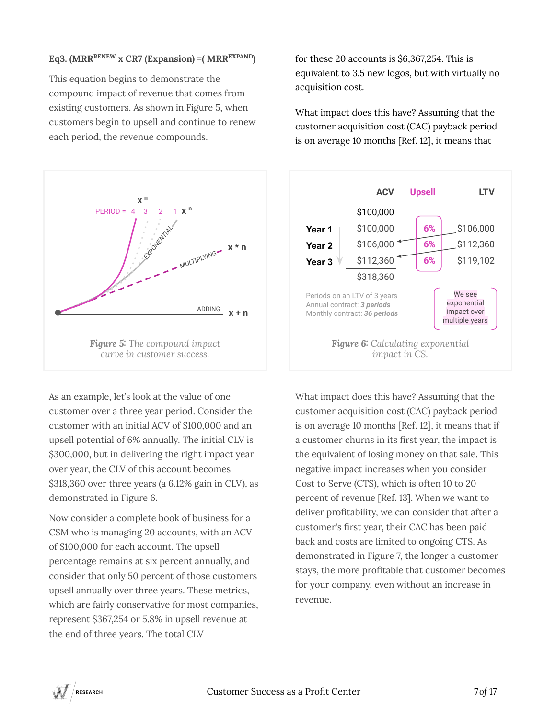#### **Eq3. (MRRRENEW x CR7 (Expansion) =( MRREXPAND)**

This equation begins to demonstrate the compound impact of revenue that comes from existing customers. As shown in Figure 5, when customers begin to upsell and continue to renew each period, the revenue compounds.



As an example, let's look at the value of one customer over a three year period. Consider the customer with an initial ACV of \$100,000 and an upsell potential of 6% annually. The initial CLV is \$300,000, but in delivering the right impact year over year, the CLV of this account becomes \$318,360 over three years (a 6.12% gain in CLV), as demonstrated in Figure 6.

Now consider a complete book of business for a CSM who is managing 20 accounts, with an ACV of \$100,000 for each account. The upsell percentage remains at six percent annually, and consider that only 50 percent of those customers upsell annually over three years. These metrics, which are fairly conservative for most companies, represent \$367,254 or 5.8% in upsell revenue at the end of three years. The total CLV

for these 20 accounts is \$6,367,254. This is equivalent to 3.5 new logos, but with virtually no acquisition cost.

What impact does this have? Assuming that the customer acquisition cost (CAC) payback period is on average 10 months [Ref. 12], it means that



What impact does this have? Assuming that the customer acquisition cost (CAC) payback period is on average 10 months [Ref. 12], it means that if a customer churns in its first year, the impact is the equivalent of losing money on that sale. This negative impact increases when you consider Cost to Serve (CTS), which is often 10 to 20 percent of revenue [Ref. 13]. When we want to deliver profitability, we can consider that after a customer's first year, their CAC has been paid back and costs are limited to ongoing CTS. As demonstrated in Figure 7, the longer a customer stays, the more profitable that customer becomes for your company, even without an increase in revenue.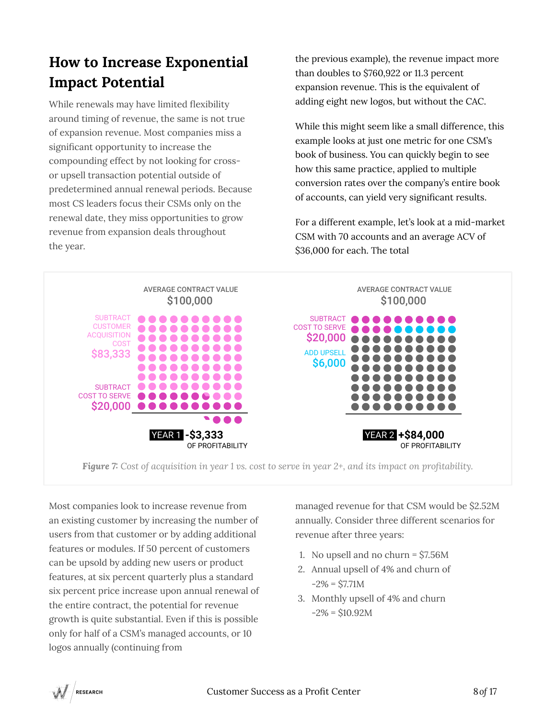### **How to Increase Exponential Impact Potential**

While renewals may have limited flexibility around timing of revenue, the same is not true of expansion revenue. Most companies miss a significant opportunity to increase the compounding effect by not looking for crossor upsell transaction potential outside of predetermined annual renewal periods. Because most CS leaders focus their CSMs only on the renewal date, they miss opportunities to grow revenue from expansion deals throughout the year.

the previous example), the revenue impact more than doubles to \$760,922 or 11.3 percent expansion revenue. This is the equivalent of adding eight new logos, but without the CAC.

While this might seem like a small difference, this example looks at just one metric for one CSM's book of business. You can quickly begin to see how this same practice, applied to multiple conversion rates over the company's entire book of accounts, can yield very significant results.

For a different example, let's look at a mid-market CSM with 70 accounts and an average ACV of \$36,000 for each. The total



*Figure 7: Cost of acquisition in year 1 vs. cost to serve in year 2+, and its impact on profitability.*

Most companies look to increase revenue from an existing customer by increasing the number of users from that customer or by adding additional features or modules. If 50 percent of customers can be upsold by adding new users or product features, at six percent quarterly plus a standard six percent price increase upon annual renewal of the entire contract, the potential for revenue growth is quite substantial. Even if this is possible only for half of a CSM's managed accounts, or 10 logos annually (continuing from

managed revenue for that CSM would be \$2.52M annually. Consider three different scenarios for revenue after three years:

- 1. No upsell and no churn = \$7.56M
- 2. Annual upsell of 4% and churn of  $-2\% = $7.71M$
- 3. Monthly upsell of 4% and churn  $-2\% = $10.92M$

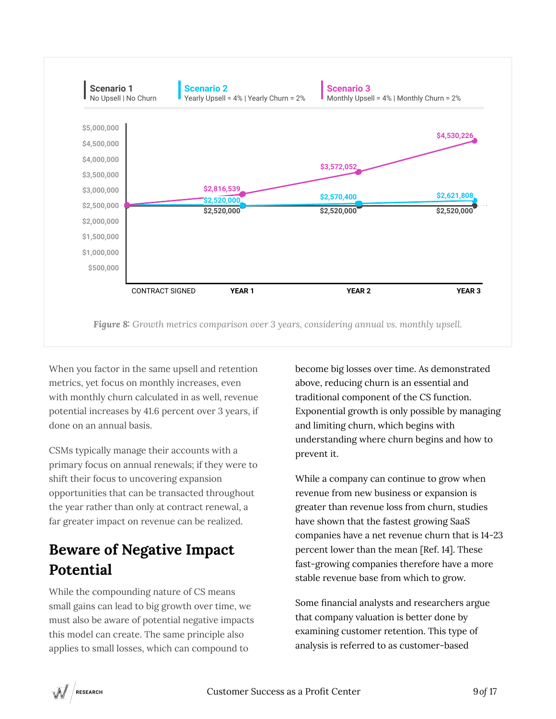

*Figure 8: Growth metrics comparison over 3 years, considering annual vs. monthly upsell.*

When you factor in the same upsell and retention metrics, yet focus on monthly increases, even with monthly churn calculated in as well, revenue potential increases by 41.6 percent over 3 years, if done on an annual basis.

CSMs typically manage their accounts with a primary focus on annual renewals; if they were to shift their focus to uncovering expansion opportunities that can be transacted throughout the year rather than only at contract renewal, a far greater impact on revenue can be realized.

### **Beware of Negative Impact Potential**

While the compounding nature of CS means small gains can lead to big growth over time, we must also be aware of potential negative impacts this model can create. The same principle also applies to small losses, which can compound to

become big losses over time. As demonstrated above, reducing churn is an essential and traditional component of the CS function. Exponential growth is only possible by managing and limiting churn, which begins with understanding where churn begins and how to prevent it.

While a company can continue to grow when revenue from new business or expansion is greater than revenue loss from churn, studies have shown that the fastest growing SaaS companies have a net revenue churn that is 14-23 percent lower than the mean [Ref. 14]. These fast-growing companies therefore have a more stable revenue base from which to grow.

Some financial analysts and researchers argue that company valuation is better done by examining customer retention. This type of analysis is referred to as customer-based

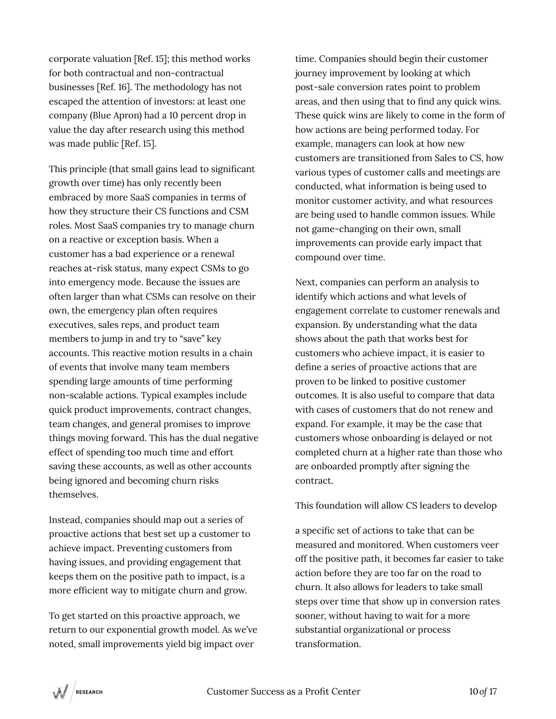corporate valuation [Ref. 15]; this method works for both contractual and non-contractual businesses [Ref. 16]. The methodology has not escaped the attention of investors: at least one company (Blue Apron) had a 10 percent drop in value the day after research using this method was made public [Ref. 15].

This principle (that small gains lead to significant growth over time) has only recently been embraced by more SaaS companies in terms of how they structure their CS functions and CSM roles. Most SaaS companies try to manage churn on a reactive or exception basis. When a customer has a bad experience or a renewal reaches at-risk status, many expect CSMs to go into emergency mode. Because the issues are often larger than what CSMs can resolve on their own, the emergency plan often requires executives, sales reps, and product team members to jump in and try to "save" key accounts. This reactive motion results in a chain of events that involve many team members spending large amounts of time performing non-scalable actions. Typical examples include quick product improvements, contract changes, team changes, and general promises to improve things moving forward. This has the dual negative effect of spending too much time and effort saving these accounts, as well as other accounts being ignored and becoming churn risks themselves.

Instead, companies should map out a series of proactive actions that best set up a customer to achieve impact. Preventing customers from having issues, and providing engagement that keeps them on the positive path to impact, is a more efficient way to mitigate churn and grow.

To get started on this proactive approach, we return to our exponential growth model. As we've noted, small improvements yield big impact over

time. Companies should begin their customer journey improvement by looking at which post-sale conversion rates point to problem areas, and then using that to find any quick wins. These quick wins are likely to come in the form of how actions are being performed today. For example, managers can look at how new customers are transitioned from Sales to CS, how various types of customer calls and meetings are conducted, what information is being used to monitor customer activity, and what resources are being used to handle common issues. While not game-changing on their own, small improvements can provide early impact that compound over time.

Next, companies can perform an analysis to identify which actions and what levels of engagement correlate to customer renewals and expansion. By understanding what the data shows about the path that works best for customers who achieve impact, it is easier to define a series of proactive actions that are proven to be linked to positive customer outcomes. It is also useful to compare that data with cases of customers that do not renew and expand. For example, it may be the case that customers whose onboarding is delayed or not completed churn at a higher rate than those who are onboarded promptly after signing the contract.

This foundation will allow CS leaders to develop

a specific set of actions to take that can be measured and monitored. When customers veer off the positive path, it becomes far easier to take action before they are too far on the road to churn. It also allows for leaders to take small steps over time that show up in conversion rates sooner, without having to wait for a more substantial organizational or process transformation.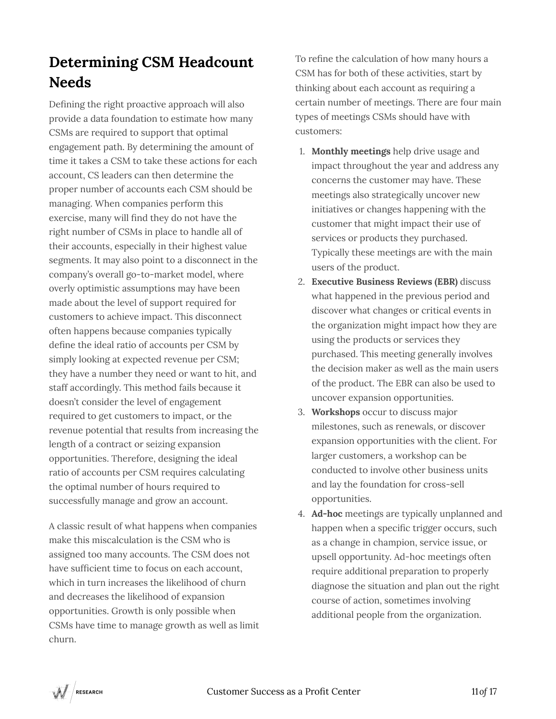# **Determining CSM Headcount Needs**

Defining the right proactive approach will also provide a data foundation to estimate how many CSMs are required to support that optimal engagement path. By determining the amount of time it takes a CSM to take these actions for each account, CS leaders can then determine the proper number of accounts each CSM should be managing. When companies perform this exercise, many will find they do not have the right number of CSMs in place to handle all of their accounts, especially in their highest value segments. It may also point to a disconnect in the company's overall go-to-market model, where overly optimistic assumptions may have been made about the level of support required for customers to achieve impact. This disconnect often happens because companies typically define the ideal ratio of accounts per CSM by simply looking at expected revenue per CSM; they have a number they need or want to hit, and staff accordingly. This method fails because it doesn't consider the level of engagement required to get customers to impact, or the revenue potential that results from increasing the length of a contract or seizing expansion opportunities. Therefore, designing the ideal ratio of accounts per CSM requires calculating the optimal number of hours required to successfully manage and grow an account.

A classic result of what happens when companies make this miscalculation is the CSM who is assigned too many accounts. The CSM does not have sufficient time to focus on each account, which in turn increases the likelihood of churn and decreases the likelihood of expansion opportunities. Growth is only possible when CSMs have time to manage growth as well as limit churn.

To refine the calculation of how many hours a CSM has for both of these activities, start by thinking about each account as requiring a certain number of meetings. There are four main types of meetings CSMs should have with customers:

- 1. **Monthly meetings** help drive usage and impact throughout the year and address any concerns the customer may have. These meetings also strategically uncover new initiatives or changes happening with the customer that might impact their use of services or products they purchased. Typically these meetings are with the main users of the product.
- 2. **Executive Business Reviews (EBR)** discuss what happened in the previous period and discover what changes or critical events in the organization might impact how they are using the products or services they purchased. This meeting generally involves the decision maker as well as the main users of the product. The EBR can also be used to uncover expansion opportunities.
- 3. **Workshops** occur to discuss major milestones, such as renewals, or discover expansion opportunities with the client. For larger customers, a workshop can be conducted to involve other business units and lay the foundation for cross-sell opportunities.
- 4. **Ad-hoc** meetings are typically unplanned and happen when a specific trigger occurs, such as a change in champion, service issue, or upsell opportunity. Ad-hoc meetings often require additional preparation to properly diagnose the situation and plan out the right course of action, sometimes involving additional people from the organization.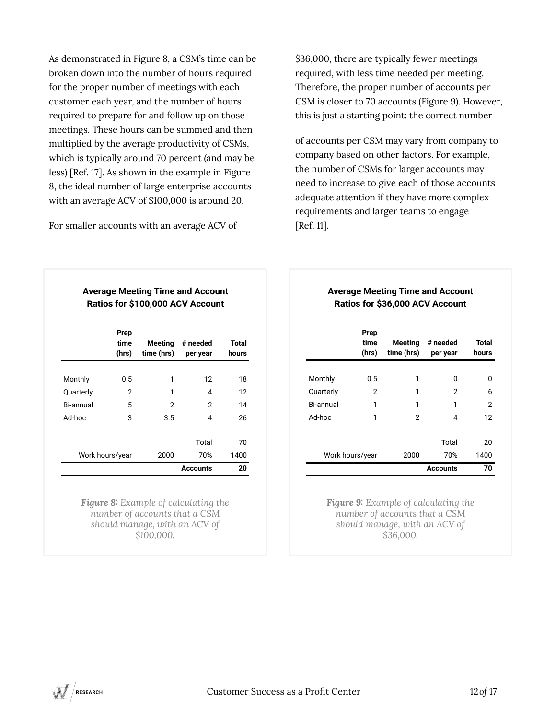As demonstrated in Figure 8, a CSM's time can be broken down into the number of hours required for the proper number of meetings with each customer each year, and the number of hours required to prepare for and follow up on those meetings. These hours can be summed and then multiplied by the average productivity of CSMs, which is typically around 70 percent (and may be less) [Ref. 17]. As shown in the example in Figure 8, the ideal number of large enterprise accounts with an average ACV of \$100,000 is around 20.

For smaller accounts with an average ACV of

\$36,000, there are typically fewer meetings required, with less time needed per meeting. Therefore, the proper number of accounts per CSM is closer to 70 accounts (Figure 9). However, this is just a starting point: the correct number

of accounts per CSM may vary from company to company based on other factors. For example, the number of CSMs for larger accounts may need to increase to give each of those accounts adequate attention if they have more complex requirements and larger teams to engage [Ref. 11].

#### **Average Meeting Time and Account Ratios for \$100,000 ACV Account**

|                  | Prep<br>time<br>(hrs) | <b>Meeting</b><br>time (hrs) | # needed<br>per year | <b>Total</b><br>hours |
|------------------|-----------------------|------------------------------|----------------------|-----------------------|
| Monthly          | $0.5\,$               | 1                            | 12                   | 18                    |
| Quarterly        | 2                     | 1                            | 4                    | 12                    |
| <b>Bi-annual</b> | 5                     | 2                            | 2                    | 14                    |
| Ad-hoc           | 3                     | 3.5                          | 4                    | 26                    |
|                  |                       |                              | Total                | 70                    |
| Work hours/year  |                       | 2000                         | 70%                  | 1400                  |
|                  |                       |                              | <b>Accounts</b>      | 20                    |

*Figure 8: Example of calculating the number of accounts that a CSM should manage, with an ACV of \$100,000.*

#### **Average Meeting Time and Account Ratios for \$36,000 ACV Account**

|                 | Prep<br>time<br>(hrs) | Meeting<br>time (hrs) | # needed<br>per year | Total<br>hours |
|-----------------|-----------------------|-----------------------|----------------------|----------------|
| Monthly         | 0.5                   | 1                     | O                    | O              |
| Quarterly       | 2                     | 1                     | 2                    | 6              |
| Bi-annual       | 1                     | 1                     | 1                    | 2              |
| Ad-hoc          | 1                     | 2                     | 4                    | 12             |
|                 |                       |                       | Total                | 20             |
| Work hours/year |                       | 2000                  | 70%                  | 1400           |
|                 |                       |                       | <b>Accounts</b>      | 70             |

*Figure 9: Example of calculating the number of accounts that a CSM should manage, with an ACV of \$36,000.*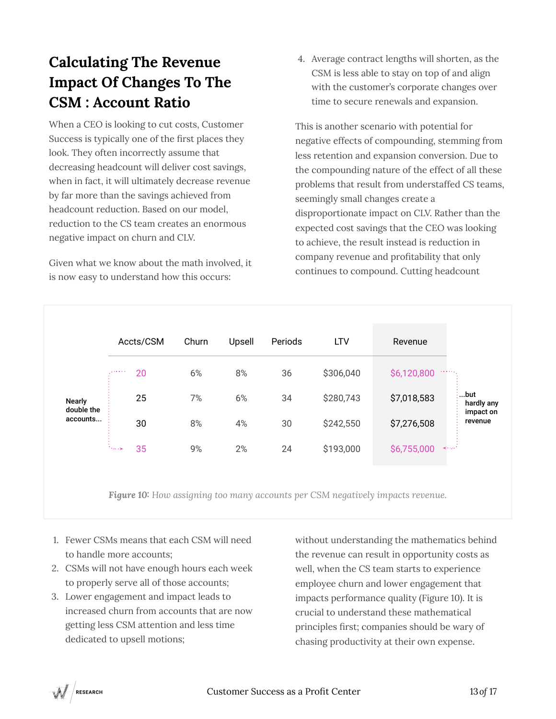# **Calculating The Revenue Impact Of Changes To The CSM : Account Ratio**

When a CEO is looking to cut costs, Customer Success is typically one of the first places they look. They often incorrectly assume that decreasing headcount will deliver cost savings, when in fact, it will ultimately decrease revenue by far more than the savings achieved from headcount reduction. Based on our model, reduction to the CS team creates an enormous negative impact on churn and CLV.

Given what we know about the math involved, it is now easy to understand how this occurs:

4. Average contract lengths will shorten, as the CSM is less able to stay on top of and align with the customer's corporate changes over time to secure renewals and expansion.

This is another scenario with potential for negative effects of compounding, stemming from less retention and expansion conversion. Due to the compounding nature of the effect of all these problems that result from understaffed CS teams, seemingly small changes create a disproportionate impact on CLV. Rather than the expected cost savings that the CEO was looking to achieve, the result instead is reduction in company revenue and profitability that only continues to compound. Cutting headcount

|                             | Accts/CSM            | Churn | Upsell | Periods | <b>LTV</b> | Revenue                                                     |
|-----------------------------|----------------------|-------|--------|---------|------------|-------------------------------------------------------------|
|                             | 20<br><b>Service</b> | 6%    | 8%     | 36      | \$306,040  | \$6,120,800<br><b>Address</b>                               |
| <b>Nearly</b><br>double the | 25                   | 7%    | 6%     | 34      | \$280,743  | \$7,018,583                                                 |
| accounts                    | 30                   | 8%    | 4%     | 30      | \$242,550  | \$7,276,508                                                 |
|                             | 35<br><b>Thomas</b>  | 9%    | 2%     | 24      | \$193,000  | \$6,755,000<br>$\prec\!\!\prec\!\!\prec\!\!\prec\!\!\prec'$ |

*Figure 10: How assigning too many accounts per CSM negatively impacts revenue.* 

- 1. Fewer CSMs means that each CSM will need to handle more accounts;
- 2. CSMs will not have enough hours each week to properly serve all of those accounts;
- 3. Lower engagement and impact leads to increased churn from accounts that are now getting less CSM attention and less time dedicated to upsell motions;

without understanding the mathematics behind the revenue can result in opportunity costs as well, when the CS team starts to experience employee churn and lower engagement that impacts performance quality (Figure 10). It is crucial to understand these mathematical principles first; companies should be wary of chasing productivity at their own expense.

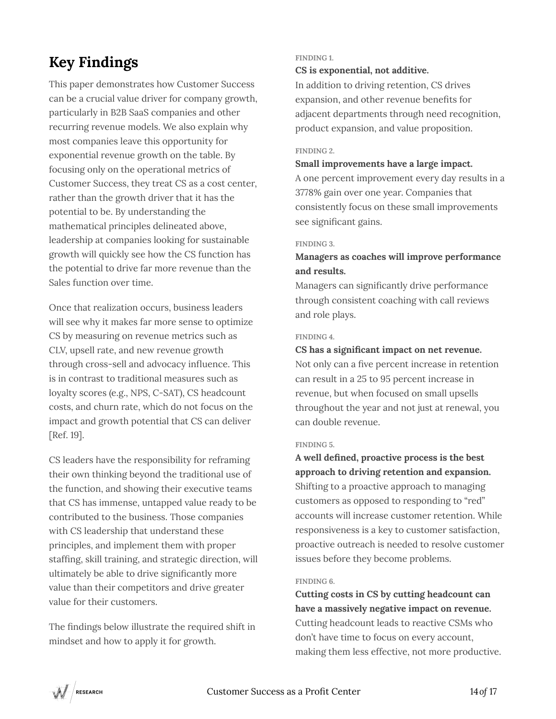# **Key Findings**

This paper demonstrates how Customer Success can be a crucial value driver for company growth, particularly in B2B SaaS companies and other recurring revenue models. We also explain why most companies leave this opportunity for exponential revenue growth on the table. By focusing only on the operational metrics of Customer Success, they treat CS as a cost center, rather than the growth driver that it has the potential to be. By understanding the mathematical principles delineated above, leadership at companies looking for sustainable growth will quickly see how the CS function has the potential to drive far more revenue than the Sales function over time.

Once that realization occurs, business leaders will see why it makes far more sense to optimize CS by measuring on revenue metrics such as CLV, upsell rate, and new revenue growth through cross-sell and advocacy influence. This is in contrast to traditional measures such as loyalty scores (e.g., NPS, C-SAT), CS headcount costs, and churn rate, which do not focus on the impact and growth potential that CS can deliver [Ref. 19].

CS leaders have the responsibility for reframing their own thinking beyond the traditional use of the function, and showing their executive teams that CS has immense, untapped value ready to be contributed to the business. Those companies with CS leadership that understand these principles, and implement them with proper staffing, skill training, and strategic direction, will ultimately be able to drive significantly more value than their competitors and drive greater value for their customers.

The findings below illustrate the required shift in mindset and how to apply it for growth.

#### **FINDING 1.**

#### **CS is exponential, not additive.**

In addition to driving retention, CS drives expansion, and other revenue benefits for adjacent departments through need recognition, product expansion, and value proposition.

#### **FINDING 2.**

#### **Small improvements have a large impact.**

A one percent improvement every day results in a 3778% gain over one year. Companies that consistently focus on these small improvements see significant gains.

#### **FINDING 3.**

#### **Managers as coaches will improve performance and results.**

Managers can significantly drive performance through consistent coaching with call reviews and role plays.

#### **FINDING 4.**

#### **CS has a significant impact on net revenue.**

Not only can a five percent increase in retention can result in a 25 to 95 percent increase in revenue, but when focused on small upsells throughout the year and not just at renewal, you can double revenue.

#### **FINDING 5.**

**A well defined, proactive process is the best approach to driving retention and expansion.**  Shifting to a proactive approach to managing customers as opposed to responding to "red" accounts will increase customer retention. While responsiveness is a key to customer satisfaction, proactive outreach is needed to resolve customer issues before they become problems.

#### **FINDING 6.**

**Cutting costs in CS by cutting headcount can have a massively negative impact on revenue.** Cutting headcount leads to reactive CSMs who don't have time to focus on every account, making them less effective, not more productive.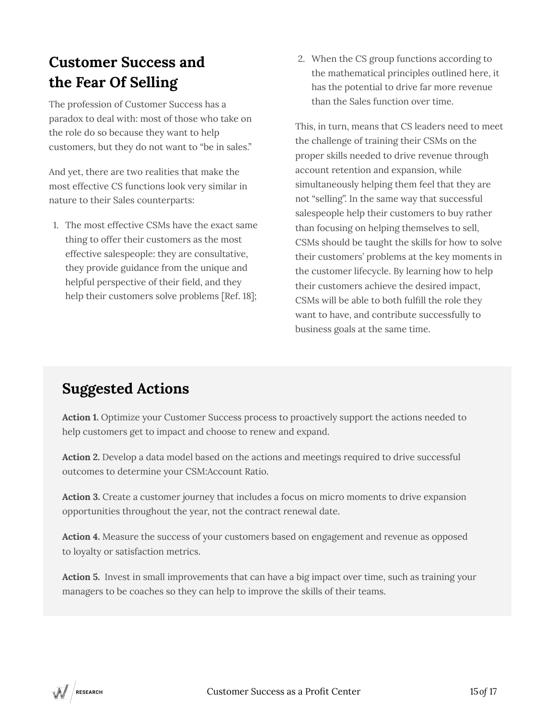### **Customer Success and the Fear Of Selling**

The profession of Customer Success has a paradox to deal with: most of those who take on the role do so because they want to help customers, but they do not want to "be in sales."

And yet, there are two realities that make the most effective CS functions look very similar in nature to their Sales counterparts:

1. The most effective CSMs have the exact same thing to offer their customers as the most effective salespeople: they are consultative, they provide guidance from the unique and helpful perspective of their field, and they help their customers solve problems [Ref. 18];

2. When the CS group functions according to the mathematical principles outlined here, it has the potential to drive far more revenue than the Sales function over time.

This, in turn, means that CS leaders need to meet the challenge of training their CSMs on the proper skills needed to drive revenue through account retention and expansion, while simultaneously helping them feel that they are not "selling". In the same way that successful salespeople help their customers to buy rather than focusing on helping themselves to sell, CSMs should be taught the skills for how to solve their customers' problems at the key moments in the customer lifecycle. By learning how to help their customers achieve the desired impact, CSMs will be able to both fulfill the role they want to have, and contribute successfully to business goals at the same time.

### **Suggested Actions**

**Action 1.** Optimize your Customer Success process to proactively support the actions needed to help customers get to impact and choose to renew and expand.

**Action 2.** Develop a data model based on the actions and meetings required to drive successful outcomes to determine your CSM:Account Ratio.

**Action 3.** Create a customer journey that includes a focus on micro moments to drive expansion opportunities throughout the year, not the contract renewal date.

**Action 4.** Measure the success of your customers based on engagement and revenue as opposed to loyalty or satisfaction metrics.

**Action 5.** Invest in small improvements that can have a big impact over time, such as training your managers to be coaches so they can help to improve the skills of their teams.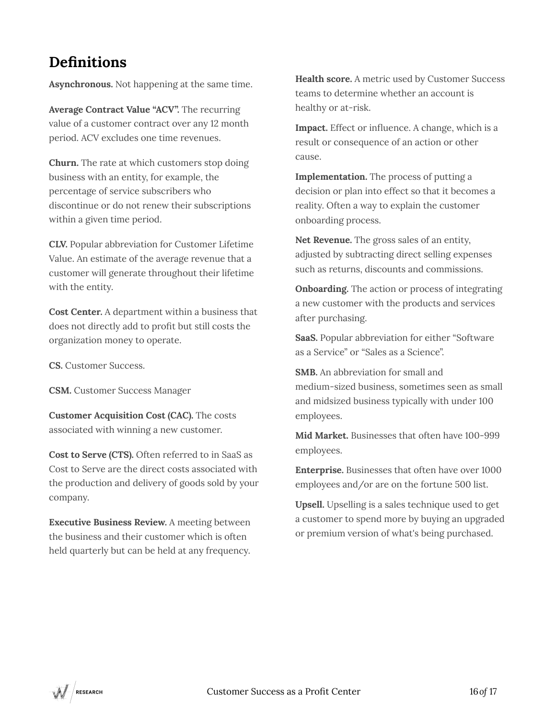### **Definitions**

**Asynchronous.** Not happening at the same time.

**Average Contract Value "ACV".** The recurring value of a customer contract over any 12 month period. ACV excludes one time revenues.

**Churn.** The rate at which customers stop doing business with an entity, for example, the percentage of service subscribers who discontinue or do not renew their subscriptions within a given time period.

**CLV.** Popular abbreviation for Customer Lifetime Value. An estimate of the average revenue that a customer will generate throughout their lifetime with the entity.

**Cost Center.** A department within a business that does not directly add to profit but still costs the organization money to operate.

**CS.** Customer Success.

**CSM.** Customer Success Manager

**Customer Acquisition Cost (CAC).** The costs associated with winning a new customer.

**Cost to Serve (CTS).** Often referred to in SaaS as Cost to Serve are the direct costs associated with the production and delivery of goods sold by your company.

**Executive Business Review.** A meeting between the business and their customer which is often held quarterly but can be held at any frequency. **Health score.** A metric used by Customer Success teams to determine whether an account is healthy or at-risk.

**Impact.** Effect or influence. A change, which is a result or consequence of an action or other cause.

**Implementation.** The process of putting a decision or plan into effect so that it becomes a reality. Often a way to explain the customer onboarding process.

**Net Revenue.** The gross sales of an entity, adjusted by subtracting direct selling expenses such as returns, discounts and commissions.

**Onboarding.** The action or process of integrating a new customer with the products and services after purchasing.

**SaaS.** Popular abbreviation for either "Software as a Service" or "Sales as a Science".

**SMB.** An abbreviation for small and medium-sized business, sometimes seen as small and midsized business typically with under 100 employees.

**Mid Market.** Businesses that often have 100-999 employees.

**Enterprise.** Businesses that often have over 1000 employees and/or are on the fortune 500 list.

**Upsell.** Upselling is a sales technique used to get a customer to spend more by buying an upgraded or premium version of what's being purchased.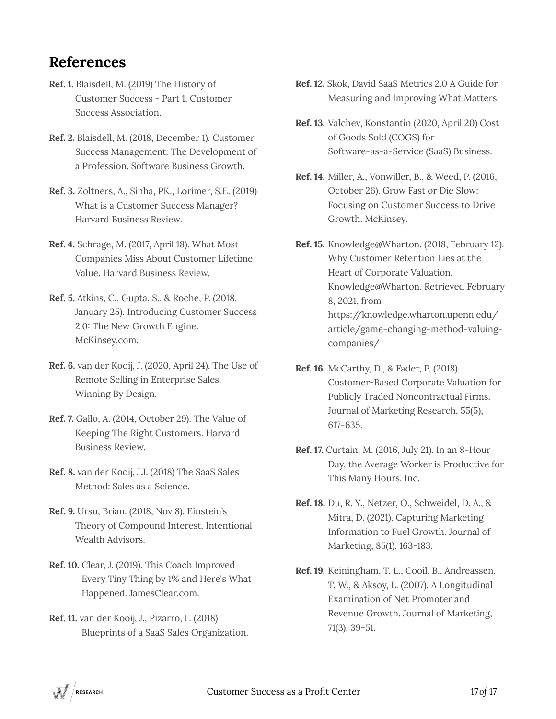### **References**

- **Ref. 1.** Blaisdell, M. (2019) The History of Customer Success - Part 1. Customer Success Association.
- **Ref. 2.** Blaisdell, M. (2018, December 1). Customer Success Management: The Development of a Profession. Software Business Growth.
- **Ref. 3.** Zoltners, A., Sinha, PK., Lorimer, S.E. (2019) What is a Customer Success Manager? Harvard Business Review.
- **Ref. 4.** Schrage, M. (2017, April 18). What Most Companies Miss About Customer Lifetime Value. Harvard Business Review.
- **Ref. 5.** Atkins, C., Gupta, S., & Roche, P. (2018, January 25). Introducing Customer Success 2.0: The New Growth Engine. McKinsey.com.
- **Ref. 6.** van der Kooij, J. (2020, April 24). The Use of Remote Selling in Enterprise Sales. Winning By Design.
- **Ref. 7.** Gallo, A. (2014, October 29). The Value of Keeping The Right Customers. Harvard Business Review.
- **Ref. 8.** van der Kooij, J.J. (2018) The SaaS Sales Method: Sales as a Science.
- **Ref. 9.** Ursu, Brian. (2018, Nov 8). Einstein's Theory of Compound Interest. Intentional Wealth Advisors.
- **Ref. 10.** Clear, J. (2019). This Coach Improved Every Tiny Thing by 1% and Here's What Happened. JamesClear.com.
- **Ref. 11.** van der Kooij, J., Pizarro, F. (2018) Blueprints of a SaaS Sales Organization.
- **Ref. 12.** Skok, David SaaS Metrics 2.0 A Guide for Measuring and Improving What Matters.
- **Ref. 13.** Valchev, Konstantin (2020, April 20) Cost of Goods Sold (COGS) for Software-as-a-Service (SaaS) Business.
- **Ref. 14.** Miller, A., Vonwiller, B., & Weed, P. (2016, October 26). Grow Fast or Die Slow: Focusing on Customer Success to Drive Growth. McKinsey.
- **Ref. 15.** Knowledge@Wharton. (2018, February 12). Why Customer Retention Lies at the Heart of Corporate Valuation. Knowledge@Wharton. Retrieved February 8, 2021, from https://knowledge.wharton.upenn.edu/ article/game-changing-method-valuingcompanies/
- **Ref. 16.** McCarthy, D., & Fader, P. (2018). Customer-Based Corporate Valuation for Publicly Traded Noncontractual Firms. Journal of Marketing Research, 55(5), 617-635.
- **Ref. 17.** Curtain, M. (2016, July 21). In an 8-Hour Day, the Average Worker is Productive for This Many Hours. Inc.
- **Ref. 18.** Du, R. Y., Netzer, O., Schweidel, D. A., & Mitra, D. (2021). Capturing Marketing Information to Fuel Growth. Journal of Marketing, 85(1), 163-183.
- **Ref. 19.** Keiningham, T. L., Cooil, B., Andreassen, T. W., & Aksoy, L. (2007). A Longitudinal Examination of Net Promoter and Revenue Growth. Journal of Marketing, 71(3), 39-51.